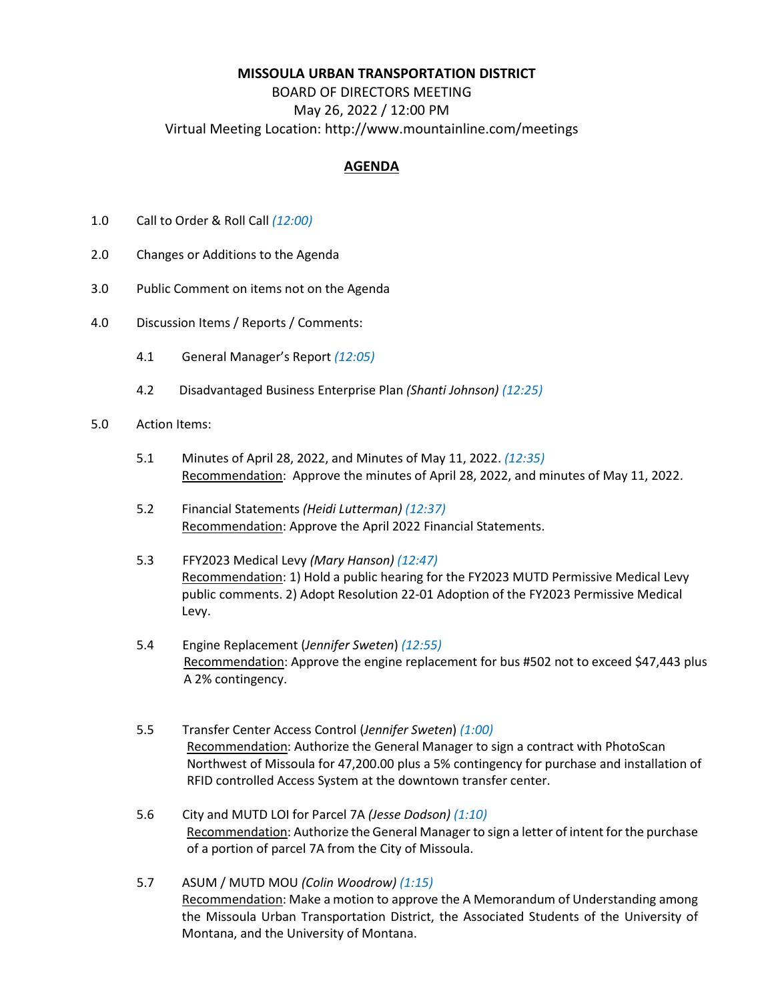## **MISSOULA URBAN TRANSPORTATION DISTRICT**

## BOARD OF DIRECTORS MEETING May 26, 2022 / 12:00 PM Virtual Meeting Location: http://www.mountainline.com/meetings

## **AGENDA**

- 1.0 Call to Order & Roll Call *(12:00)*
- 2.0 Changes or Additions to the Agenda
- 3.0 Public Comment on items not on the Agenda
- 4.0 Discussion Items / Reports / Comments:
	- 4.1 General Manager's Report *(12:05)*
	- 4.2 Disadvantaged Business Enterprise Plan *(Shanti Johnson) (12:25)*
- 5.0 Action Items:
	- 5.1 Minutes of April 28, 2022, and Minutes of May 11, 2022. *(12:35)* Recommendation: Approve the minutes of April 28, 2022, and minutes of May 11, 2022.
	- 5.2 Financial Statements *(Heidi Lutterman) (12:37)* Recommendation: Approve the April 2022 Financial Statements.
	- 5.3 FFY2023 Medical Levy *(Mary Hanson) (12:47)* Recommendation: 1) Hold a public hearing for the FY2023 MUTD Permissive Medical Levy public comments. 2) Adopt Resolution 22-01 Adoption of the FY2023 Permissive Medical Levy.
	- 5.4 Engine Replacement (*Jennifer Sweten*) *(12:55)* Recommendation: Approve the engine replacement for bus #502 not to exceed \$47,443 plus A 2% contingency.
	- 5.5 Transfer Center Access Control (*Jennifer Sweten*) *(1:00)* Recommendation: Authorize the General Manager to sign a contract with PhotoScan Northwest of Missoula for 47,200.00 plus a 5% contingency for purchase and installation of RFID controlled Access System at the downtown transfer center.
	- 5.6 City and MUTD LOI for Parcel 7A *(Jesse Dodson) (1:10)* Recommendation: Authorize the General Manager to sign a letter of intent for the purchase of a portion of parcel 7A from the City of Missoula.
	- 5.7 ASUM / MUTD MOU *(Colin Woodrow) (1:15)* Recommendation: Make a motion to approve the A Memorandum of Understanding among the Missoula Urban Transportation District, the Associated Students of the University of Montana, and the University of Montana.